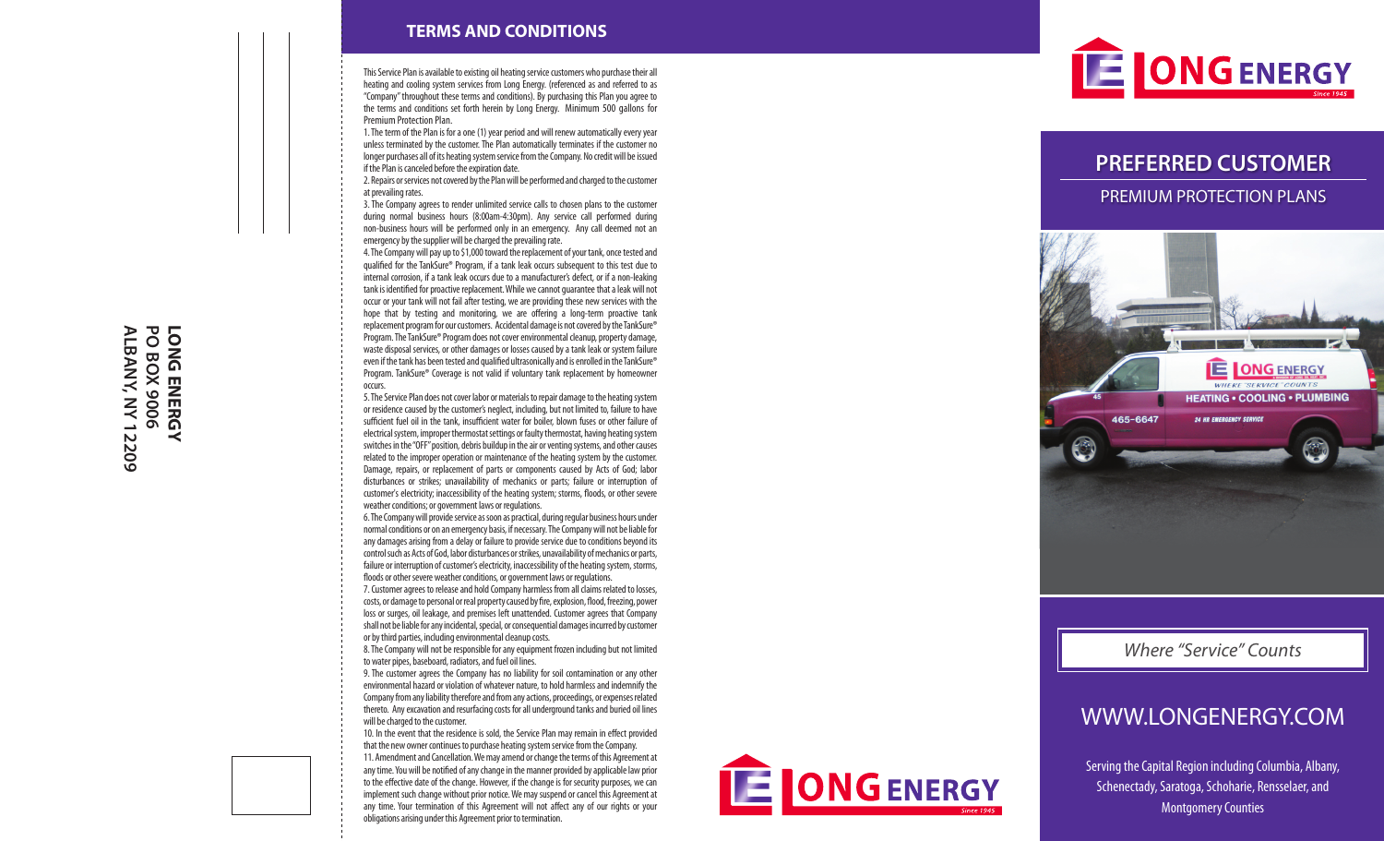#### **TERMS AND CONDITIONS**

This Service Plan is available to existing oil heating service customers who purchase their all heating and cooling system services from Long Energy. (referenced as and referred to as "Company" throughout these terms and conditions). By purchasing this Plan you agree to the terms and conditions set forth herein by Long Energy. Minimum 500 gallons for Premium Protection Plan.

1. The term of the Plan is for a one (1) year period and will renew automatically every year unless terminated by the customer. The Plan automatically terminates if the customer no longer purchases all of its heating system service from the Company. No credit will be issued if the Plan is canceled before the expiration date.

2. Repairs or services not covered by the Plan will be performed and charged to the customer at prevailing rates.

3. The Company agrees to render unlimited service calls to chosen plans to the customer during normal business hours (8:00am-4:30pm). Any service call performed during non-business hours will be performed only in an emergency. Any call deemed not an emergency by the supplier will be charged the prevailing rate.

4. The Company will pay up to \$1,000 toward the replacement of your tank, once tested and qualified for the TankSure® Program, if a tank leak occurs subsequent to this test due to internal corrosion, if a tank leak occurs due to a manufacturer's defect, or if a non-leaking tank is identified for proactive replacement. While we cannot guarantee that a leak will not occur or your tank will not fail after testing, we are providing these new services with the hope that by testing and monitoring, we are offering a long-term proactive tank replacement program for our customers. Accidental damage is not covered by the TankSure® Program. The TankSure® Program does not cover environmental cleanup, property damage, waste disposal services, or other damages or losses caused by a tank leak or system failure even if the tank has been tested and qualified ultrasonically and is enrolled in the TankSure® Program. TankSure® Coverage is not valid if voluntary tank replacement by homeowner occurs.

5. The Service Plan does not cover labor or materials to repair damage to the heating system or residence caused by the customer's neglect, including, but not limited to, failure to have sufficient fuel oil in the tank, insufficient water for boiler, blown fuses or other failure of electrical system, improper thermostat settings or faulty thermostat, having heating system switches in the "OFF" position, debris buildup in the air or venting systems, and other causes related to the improper operation or maintenance of the heating system by the customer. Damage, repairs, or replacement of parts or components caused by Acts of God; labor disturbances or strikes; unavailability of mechanics or parts; failure or interruption of customer's electricity; inaccessibility of the heating system; storms, floods, or other severe weather conditions; or government laws or regulations.

6. The Company will provide service as soon as practical, during regular business hours under normal conditions or on an emergency basis, if necessary. The Company will not be liable for any damages arising from a delay or failure to provide service due to conditions beyond its control such as Acts of God, labor disturbances or strikes, unavailability of mechanics or parts, failure or interruption of customer's electricity, inaccessibility of the heating system, storms, floods or other severe weather conditions, or government laws or regulations.

7. Customer agrees to release and hold Company harmless from all claims related to losses, costs, or damage to personal or real property caused by fire, explosion, flood, freezing, power loss or surges, oil leakage, and premises left unattended. Customer agrees that Company shall not be liable for any incidental, special, or consequential damages incurred by customer or by third parties, including environmental cleanup costs.

8. The Company will not be responsible for any equipment frozen including but not limited to water pipes, baseboard, radiators, and fuel oil lines.

9. The customer agrees the Company has no liability for soil contamination or any other environmental hazard or violation of whatever nature, to hold harmless and indemnify the Company from any liability therefore and from any actions, proceedings, or expenses related thereto. Any excavation and resurfacing costs for all underground tanks and buried oil lines will be charged to the customer.

10. In the event that the residence is sold, the Service Plan may remain in effect provided that the new owner continues to purchase heating system service from the Company.

11. Amendment and Cancellation. We may amend or change the terms of this Agreement at any time. You will be notified of any change in the manner provided by applicable law prior to the effective date of the change. However, if the change is for security purposes, we can implement such change without prior notice. We may suspend or cancel this Agreement at any time. Your termination of this Agreement will not affect any of our rights or your obligations arising under this Agreement prior to termination.





## **PREFERRED CUSTOMER**

PREMIUM PROTECTION PLANS



## WWW.LONGENERGY.COM

Serving the Capital Region including Columbia, Albany, Schenectady, Saratoga, Schoharie, Rensselaer, and Montgomery Counties